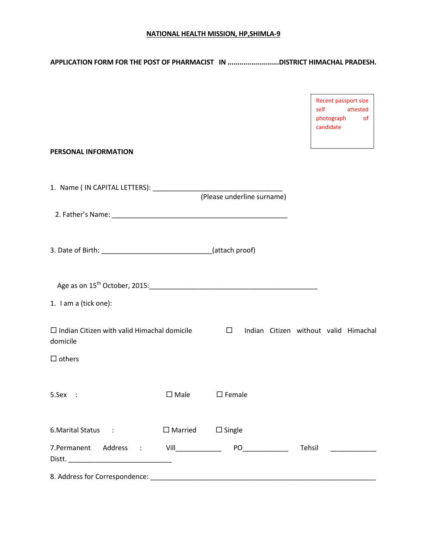#### **NATIONAL HEALTH MISSION, HP,SHIMLA-9**

# **APPLICATION FORM FOR THE POST OF PHARMACIST IN ..........................DISTRICT HIMACHAL PRADESH.**

|                                                                                                                                                                                                                                |                              | Recent passport size<br>self<br>attested<br>photograph<br>0f<br>candidate |
|--------------------------------------------------------------------------------------------------------------------------------------------------------------------------------------------------------------------------------|------------------------------|---------------------------------------------------------------------------|
| <b>PERSONAL INFORMATION</b>                                                                                                                                                                                                    |                              |                                                                           |
|                                                                                                                                                                                                                                | (Please underline surname)   |                                                                           |
|                                                                                                                                                                                                                                |                              |                                                                           |
|                                                                                                                                                                                                                                |                              |                                                                           |
|                                                                                                                                                                                                                                |                              |                                                                           |
| 1. I am a (tick one):                                                                                                                                                                                                          |                              |                                                                           |
| $\Box$ Indian Citizen with valid Himachal domicile<br>domicile                                                                                                                                                                 | $\Box$                       | Indian Citizen without valid Himachal                                     |
| $\Box$ others                                                                                                                                                                                                                  |                              |                                                                           |
| $\square$ Male<br>$5.$ Sex :                                                                                                                                                                                                   | $\square$ Female             |                                                                           |
| 6. Marital Status : The Status Status Status Status Status Status Status Status Status Status Status Status Status Status Status Status Status Status Status Status Status Status Status Status Status Status Status Status St | $\Box$ Married $\Box$ Single |                                                                           |
| 7.Permanent Address : Vill____________                                                                                                                                                                                         |                              | Tehsil<br><u> 1999 - Jan Jawa</u>                                         |
|                                                                                                                                                                                                                                |                              |                                                                           |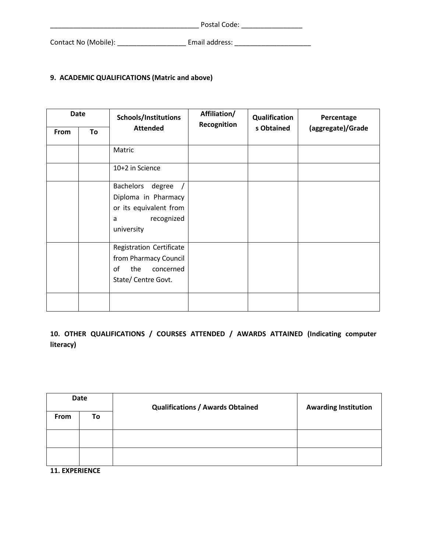|                      | Postal Code:   |  |  |
|----------------------|----------------|--|--|
| Contact No (Mobile): | Email address: |  |  |

## **9. ACADEMIC QUALIFICATIONS (Matric and above)**

| <b>Date</b> |    | Schools/Institutions                                                                                         | Affiliation/<br>Recognition | Qualification | Percentage        |  |
|-------------|----|--------------------------------------------------------------------------------------------------------------|-----------------------------|---------------|-------------------|--|
| From        | To | <b>Attended</b>                                                                                              |                             | s Obtained    | (aggregate)/Grade |  |
|             |    | Matric                                                                                                       |                             |               |                   |  |
|             |    | 10+2 in Science                                                                                              |                             |               |                   |  |
|             |    | <b>Bachelors</b><br>degree<br>Diploma in Pharmacy<br>or its equivalent from<br>recognized<br>a<br>university |                             |               |                   |  |
|             |    | Registration Certificate<br>from Pharmacy Council<br>οf<br>the<br>concerned<br>State/ Centre Govt.           |                             |               |                   |  |
|             |    |                                                                                                              |                             |               |                   |  |

**10. OTHER QUALIFICATIONS / COURSES ATTENDED / AWARDS ATTAINED (Indicating computer literacy)** 

| Date                  |    | <b>Qualifications / Awards Obtained</b> | <b>Awarding Institution</b> |  |
|-----------------------|----|-----------------------------------------|-----------------------------|--|
| <b>From</b>           | To |                                         |                             |  |
|                       |    |                                         |                             |  |
|                       |    |                                         |                             |  |
| <b>11. EXPERIENCE</b> |    |                                         |                             |  |